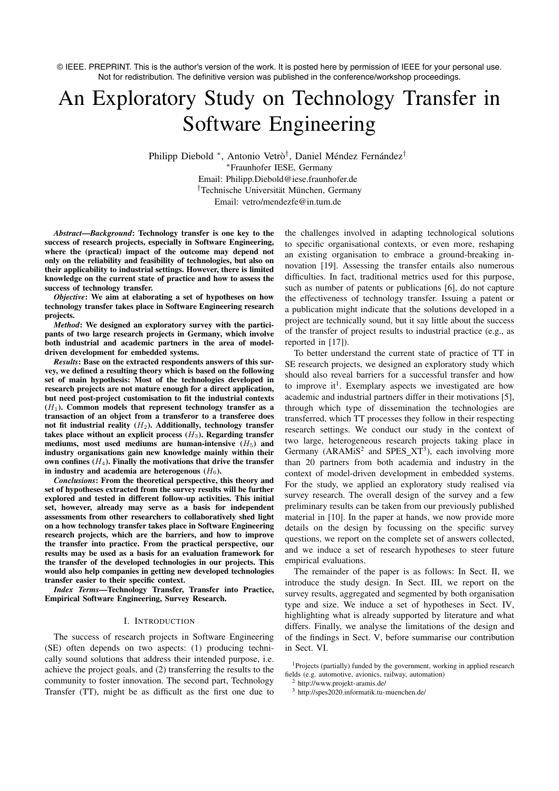© IEEE. PREPRINT. This is the author's version of the work. It is posted here by permission of IEEE for your personal use. Not for redistribution. The definitive version was published in the conference/workshop proceedings.

# An Exploratory Study on Technology Transfer in Software Engineering

Philipp Diebold \*, Antonio Vetrò<sup>†</sup>, Daniel Méndez Fernández<sup>†</sup> ⇤Fraunhofer IESE, Germany Email: Philipp.Diebold@iese.fraunhofer.de <sup>†</sup>Technische Universität München, Germany Email: vetro/mendezfe@in.tum.de

*Abstract*—*Background*: Technology transfer is one key to the success of research projects, especially in Software Engineering, where the (practical) impact of the outcome may depend not only on the reliability and feasibility of technologies, but also on their applicability to industrial settings. However, there is limited knowledge on the current state of practice and how to assess the success of technology transfer.

*Objective*: We aim at elaborating a set of hypotheses on how technology transfer takes place in Software Engineering research projects.

*Method*: We designed an exploratory survey with the participants of two large research projects in Germany, which involve both industrial and academic partners in the area of modeldriven development for embedded systems.

*Results*: Base on the extracted respondents answers of this survey, we defined a resulting theory which is based on the following set of main hypothesis: Most of the technologies developed in research projects are not mature enough for a direct application, but need post-project customisation to fit the industrial contexts  $(H<sub>1</sub>)$ . Common models that represent technology transfer as a transaction of an object from a transferor to a transferee does not fit industrial reality (*H*2). Additionally, technology transfer takes place without an explicit process  $(H_3)$ . Regarding transfer mediums, most used mediums are human-intensive  $(H_5)$  and industry organisations gain new knowledge mainly within their own confines  $(H_4)$ . Finally the motivations that drive the transfer in industry and academia are heterogenous  $(H_6)$ .

*Conclusions*: From the theoretical perspective, this theory and set of hypotheses extracted from the survey results will be further explored and tested in different follow-up activities. This initial set, however, already may serve as a basis for independent assessments from other researchers to collaboratively shed light on a how technology transfer takes place in Software Engineering research projects, which are the barriers, and how to improve the transfer into practice. From the practical perspective, our results may be used as a basis for an evaluation framework for the transfer of the developed technologies in our projects. This would also help companies in getting new developed technologies transfer easier to their specific context.

*Index Terms*—Technology Transfer, Transfer into Practice, Empirical Software Engineering, Survey Research.

#### I. INTRODUCTION

The success of research projects in Software Engineering (SE) often depends on two aspects: (1) producing technically sound solutions that address their intended purpose, i.e. achieve the project goals, and (2) transferring the results to the community to foster innovation. The second part, Technology Transfer (TT), might be as difficult as the first one due to

the challenges involved in adapting technological solutions to specific organisational contexts, or even more, reshaping an existing organisation to embrace a ground-breaking innovation [19]. Assessing the transfer entails also numerous difficulties. In fact, traditional metrics used for this purpose, such as number of patents or publications [6], do not capture the effectiveness of technology transfer. Issuing a patent or a publication might indicate that the solutions developed in a project are technically sound, but it say little about the success of the transfer of project results to industrial practice (e.g., as reported in [17]).

To better understand the current state of practice of TT in SE research projects, we designed an exploratory study which should also reveal barriers for a successful transfer and how to improve it<sup>1</sup>. Exemplary aspects we investigated are how academic and industrial partners differ in their motivations [5], through which type of dissemination the technologies are transferred, which TT processes they follow in their respecting research settings. We conduct our study in the context of two large, heterogeneous research projects taking place in Germany ( $ARAMiS<sup>2</sup>$  and  $SPES_XT<sup>3</sup>$ ), each involving more than 20 partners from both academia and industry in the context of model-driven development in embedded systems. For the study, we applied an exploratory study realised via survey research. The overall design of the survey and a few preliminary results can be taken from our previously published material in [10]. In the paper at hands, we now provide more details on the design by focussing on the specific survey questions, we report on the complete set of answers collected, and we induce a set of research hypotheses to steer future empirical evaluations.

The remainder of the paper is as follows: In Sect. II, we introduce the study design. In Sect. III, we report on the survey results, aggregated and segmented by both organisation type and size. We induce a set of hypotheses in Sect. IV, highlighting what is already supported by literature and what differs. Finally, we analyse the limitations of the design and of the findings in Sect. V, before summarise our contribution in Sect. VI.

<sup>1</sup>Projects (partially) funded by the government, working in applied research fields (e.g. automotive, avionics, railway, automation)

<sup>2</sup> http://www.projekt-aramis.de/

<sup>3</sup> http://spes2020.informatik.tu-muenchen.de/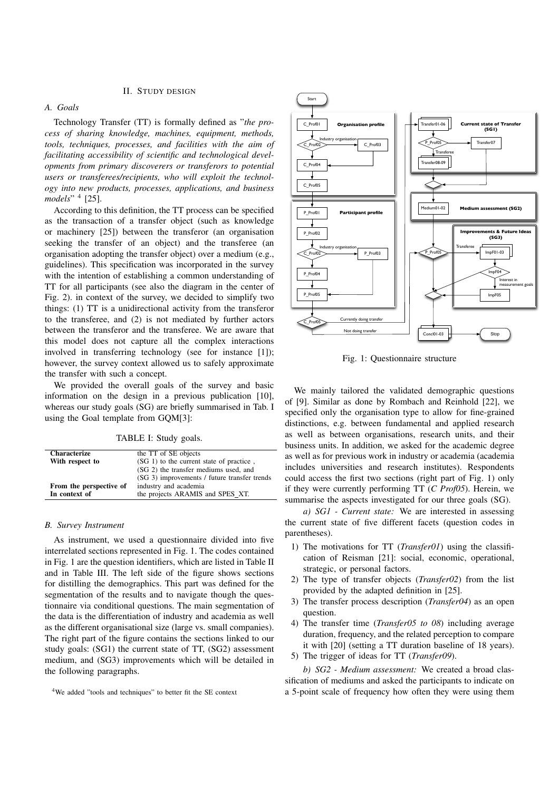#### II. STUDY DESIGN

## *A. Goals*

Technology Transfer (TT) is formally defined as "*the process of sharing knowledge, machines, equipment, methods, tools, techniques, processes, and facilities with the aim of facilitating accessibility of scientific and technological developments from primary discoverers or transferors to potential users or transferees/recipients, who will exploit the technology into new products, processes, applications, and business models*" <sup>4</sup> [25].

According to this definition, the TT process can be specified as the transaction of a transfer object (such as knowledge or machinery [25]) between the transferor (an organisation seeking the transfer of an object) and the transferee (an organisation adopting the transfer object) over a medium (e.g., guidelines). This specification was incorporated in the survey with the intention of establishing a common understanding of TT for all participants (see also the diagram in the center of Fig. 2). in context of the survey, we decided to simplify two things: (1) TT is a unidirectional activity from the transferor to the transferee, and (2) is not mediated by further actors between the transferor and the transferee. We are aware that this model does not capture all the complex interactions involved in transferring technology (see for instance [1]); however, the survey context allowed us to safely approximate the transfer with such a concept.

We provided the overall goals of the survey and basic information on the design in a previous publication [10], whereas our study goals (SG) are briefly summarised in Tab. I using the Goal template from GQM[3]:

TABLE I: Study goals.

| <b>Characterize</b>     | the TT of SE objects                         |
|-------------------------|----------------------------------------------|
| With respect to         | (SG 1) to the current state of practice,     |
|                         | (SG 2) the transfer mediums used, and        |
|                         | (SG 3) improvements / future transfer trends |
| From the perspective of | industry and academia                        |
| In context of           | the projects ARAMIS and SPES XT.             |

#### *B. Survey Instrument*

As instrument, we used a questionnaire divided into five interrelated sections represented in Fig. 1. The codes contained in Fig. 1 are the question identifiers, which are listed in Table II and in Table III. The left side of the figure shows sections for distilling the demographics. This part was defined for the segmentation of the results and to navigate though the questionnaire via conditional questions. The main segmentation of the data is the differentiation of industry and academia as well as the different organisational size (large vs. small companies). The right part of the figure contains the sections linked to our study goals: (SG1) the current state of TT, (SG2) assessment medium, and (SG3) improvements which will be detailed in the following paragraphs.



Fig. 1: Questionnaire structure

We mainly tailored the validated demographic questions of [9]. Similar as done by Rombach and Reinhold [22], we specified only the organisation type to allow for fine-grained distinctions, e.g. between fundamental and applied research as well as between organisations, research units, and their business units. In addition, we asked for the academic degree as well as for previous work in industry or academia (academia includes universities and research institutes). Respondents could access the first two sections (right part of Fig. 1) only if they were currently performing TT (*C Prof05*). Herein, we summarise the aspects investigated for our three goals (SG).

*a) SG1 - Current state:* We are interested in assessing the current state of five different facets (question codes in parentheses).

- 1) The motivations for TT (*Transfer01*) using the classification of Reisman [21]: social, economic, operational, strategic, or personal factors.
- 2) The type of transfer objects (*Transfer02*) from the list provided by the adapted definition in [25].
- 3) The transfer process description (*Transfer04*) as an open question.
- 4) The transfer time (*Transfer05 to 08*) including average duration, frequency, and the related perception to compare it with [20] (setting a TT duration baseline of 18 years).
- 5) The trigger of ideas for TT (*Transfer09*).

*b) SG2 - Medium assessment:* We created a broad classification of mediums and asked the participants to indicate on a 5-point scale of frequency how often they were using them

<sup>4</sup>We added "tools and techniques" to better fit the SE context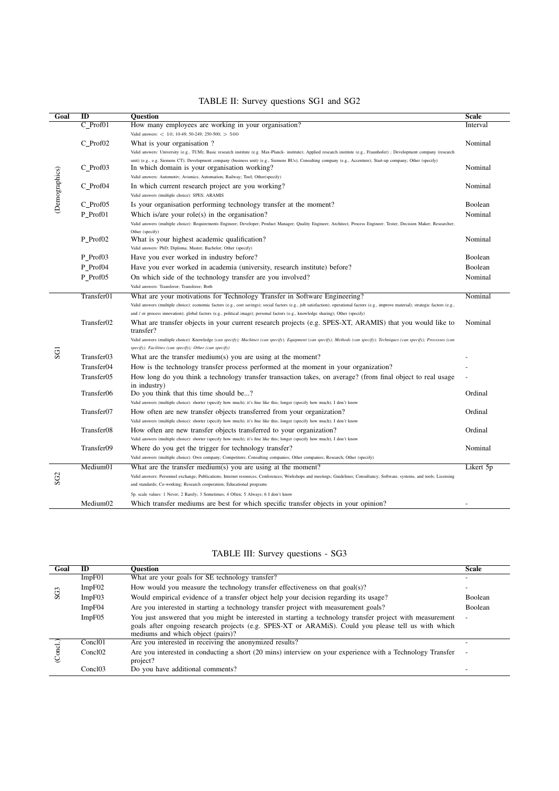| Goal            | ID                     | <b>Question</b>                                                                                                                                                                         | Scale     |
|-----------------|------------------------|-----------------------------------------------------------------------------------------------------------------------------------------------------------------------------------------|-----------|
|                 | $C_Prof01$             | How many employees are working in your organisation?                                                                                                                                    | Interval  |
|                 |                        | Valid answers: $< 10$ ; 10-49; 50-249; 250-500; $> 500$                                                                                                                                 |           |
|                 | C Prof02               | What is your organisation?                                                                                                                                                              | Nominal   |
|                 |                        | Valid answers: University (e.g., TUM); Basic research institute (e.g. Max-Planck- institute); Applied research institute (e.g., Fraunhofer) ; Development company (research             |           |
|                 |                        | unit) (e.g., e.g. Siemens CT); Development company (business unit) (e.g., Siemens BUs); Consulting company (e.g., Accenture); Start-up company; Other (specify)                         |           |
| (Demographics)  | C_Prof03               | In which domain is your organisation working?                                                                                                                                           | Nominal   |
|                 |                        | Valid answers: Automotiv; Avionics; Automation; Railway; Tool; Other(specify)                                                                                                           |           |
|                 | C_Prof04               | In which current research project are you working?                                                                                                                                      | Nominal   |
|                 |                        | Valid answers (multiple choice): SPES; ARAMIS                                                                                                                                           |           |
|                 | C Prof05               | Is your organisation performing technology transfer at the moment?                                                                                                                      | Boolean   |
|                 | P Prof01               | Which is/are your role(s) in the organisation?                                                                                                                                          | Nominal   |
|                 |                        | Valid answers (multiple choice): Requirements Engineer; Developer; Product Manager; Quality Engineer; Architect; Process Engineer; Tester; Decision Maker; Researcher;                  |           |
|                 | P_Prof02               | Other (specify)                                                                                                                                                                         | Nominal   |
|                 |                        | What is your highest academic qualification?<br>Valid answers: PhD; Diploma; Master; Bachelor; Other (specify)                                                                          |           |
|                 | P Prof03               |                                                                                                                                                                                         | Boolean   |
|                 |                        | Have you ever worked in industry before?                                                                                                                                                |           |
|                 | P_Prof04               | Have you ever worked in academia (university, research institute) before?                                                                                                               | Boolean   |
|                 | P_Prof05               | On which side of the technology transfer are you involved?                                                                                                                              | Nominal   |
|                 |                        | Valid answers: Transferor; Transferee; Both                                                                                                                                             |           |
|                 | Transfer01             | What are your motivations for Technology Transfer in Software Engineering?                                                                                                              | Nominal   |
|                 |                        | Valid answers (multiple choice): economic factors (e.g., cost savings); social factors (e.g., job satisfaction); operational factors (e.g., improve material); strategic factors (e.g., |           |
|                 |                        | and / or process innovation); global factors (e.g., political image); personal factors (e.g., knowledge sharing); Other (specify)                                                       |           |
|                 | Transfer <sub>02</sub> | What are transfer objects in your current research projects (e.g. SPES-XT, ARAMIS) that you would like to<br>transfer?                                                                  | Nominal   |
|                 |                        | Valid answers (multiple choice): Knowledge (can specify); Machines (can specify); Equipment (can specify); Methods (can specify); Techniques (can specify); Processes (can              |           |
| SG <sub>1</sub> |                        | specify); Facilities (can specify); Other (can specify)                                                                                                                                 |           |
|                 | Transfer03             | What are the transfer medium(s) you are using at the moment?                                                                                                                            |           |
|                 | Transfer04             | How is the technology transfer process performed at the moment in your organization?                                                                                                    |           |
|                 | Transfer05             | How long do you think a technology transfer transaction takes, on average? (from final object to real usage                                                                             |           |
|                 |                        | in industry)                                                                                                                                                                            |           |
|                 | Transfer06             | Do you think that this time should be?                                                                                                                                                  | Ordinal   |
|                 |                        | Valid answers (multiple choice): shorter (specify how much); it's fine like this; longer (specify how much); I don't know                                                               |           |
|                 | Transfer07             | How often are new transfer objects transferred from your organization?                                                                                                                  | Ordinal   |
|                 |                        | Valid answers (multiple choice): shorter (specify how much); it's fine like this; longer (specify how much); I don't know                                                               |           |
|                 | Transfer08             | How often are new transfer objects transferred to your organization?                                                                                                                    | Ordinal   |
|                 |                        | Valid answers (multiple choice): shorter (specify how much); it's fine like this; longer (specify how much); I don't know                                                               |           |
|                 | Transfer09             | Where do you get the trigger for technology transfer?                                                                                                                                   | Nominal   |
|                 |                        | Valid answers (multiple choice): Own company; Competitors; Consulting companies; Other companies; Research; Other (specify)                                                             |           |
|                 | Medium01               | What are the transfer medium(s) you are using at the moment?                                                                                                                            | Likert 5p |
| SG <sub>2</sub> |                        | Valid answers: Personnel exchange; Publications; Internet resources; Conferences; Workshops and meetings; Guidelines; Consultancy; Software, systems, and tools; Licensing              |           |
|                 |                        | and standards; Co-working; Research cooperation; Educational programs                                                                                                                   |           |
|                 |                        | 5p. scale values: 1 Never; 2 Rarely; 3 Sometimes; 4 Often; 5 Always; 6 I don't know                                                                                                     |           |
|                 | Medium02               | Which transfer mediums are best for which specific transfer objects in your opinion?                                                                                                    |           |

## TABLE II: Survey questions SG1 and SG2

# TABLE III: Survey questions - SG3

| Goal            | ID                  | <b>Ouestion</b>                                                                                                                          | <b>Scale</b>   |
|-----------------|---------------------|------------------------------------------------------------------------------------------------------------------------------------------|----------------|
|                 | ImpF01              | What are your goals for SE technology transfer?                                                                                          |                |
| SG <sub>3</sub> | ImpF02              | How would you measure the technology transfer effectiveness on that $goal(s)$ ?                                                          |                |
|                 | ImpF03              | Would empirical evidence of a transfer object help your decision regarding its usage?                                                    | <b>Boolean</b> |
|                 | ImpF04              | Are you interested in starting a technology transfer project with measurement goals?                                                     | Boolean        |
|                 | ImpF05              | You just answered that you might be interested in starting a technology transfer project with measurement                                |                |
|                 |                     | goals after ongoing research projects (e.g. SPES-XT or ARAMIS). Could you please tell us with which<br>mediums and which object (pairs)? |                |
|                 | Concl <sub>01</sub> | Are you interested in receiving the anonymized results?                                                                                  |                |
|                 | Concl <sub>02</sub> | Are you interested in conducting a short (20 mins) interview on your experience with a Technology Transfer<br>project?                   |                |
|                 | Concl <sub>03</sub> | Do you have additional comments?                                                                                                         |                |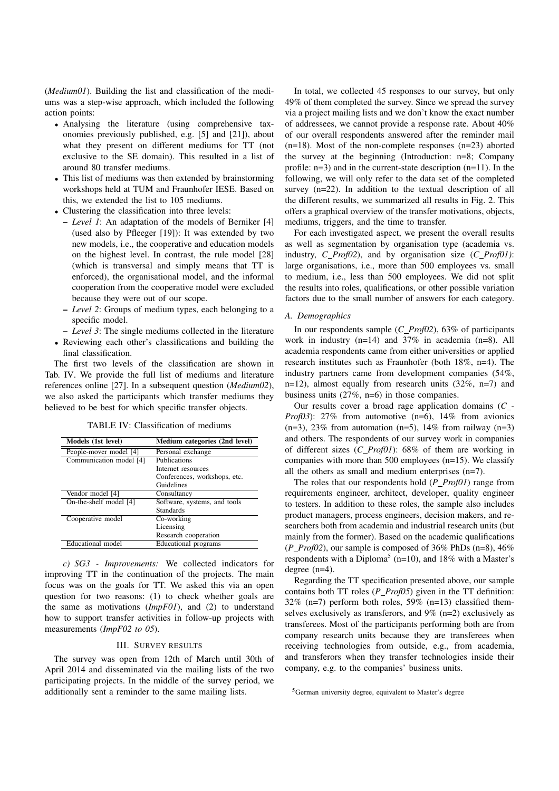(*Medium01*). Building the list and classification of the mediums was a step-wise approach, which included the following action points:

- Analysing the literature (using comprehensive taxonomies previously published, e.g. [5] and [21]), about what they present on different mediums for TT (not exclusive to the SE domain). This resulted in a list of around 80 transfer mediums.
- *•* This list of mediums was then extended by brainstorming workshops held at TUM and Fraunhofer IESE. Based on this, we extended the list to 105 mediums.
- *•* Clustering the classification into three levels:
	- *Level 1*: An adaptation of the models of Berniker [4] (used also by Pfleeger [19]): It was extended by two new models, i.e., the cooperative and education models on the highest level. In contrast, the rule model [28] (which is transversal and simply means that TT is enforced), the organisational model, and the informal cooperation from the cooperative model were excluded because they were out of our scope.
	- *Level 2*: Groups of medium types, each belonging to a specific model.
	- *Level 3*: The single mediums collected in the literature
- *•* Reviewing each other's classifications and building the final classification.

The first two levels of the classification are shown in Tab. IV. We provide the full list of mediums and literature references online [27]. In a subsequent question (*Medium02*), we also asked the participants which transfer mediums they believed to be best for which specific transfer objects.

TABLE IV: Classification of mediums

| Models (1st level)      | Medium categories (2nd level) |
|-------------------------|-------------------------------|
| People-mover model [4]  | Personal exchange             |
| Communication model [4] | Publications                  |
|                         | Internet resources            |
|                         | Conferences, workshops, etc.  |
|                         | Guidelines                    |
| Vendor model [4]        | Consultancy                   |
| On-the-shelf model [4]  | Software, systems, and tools  |
|                         | <b>Standards</b>              |
| Cooperative model       | Co-working                    |
|                         | Licensing                     |
|                         | Research cooperation          |
| Educational model       | Educational programs          |

*c) SG3 - Improvements:* We collected indicators for improving TT in the continuation of the projects. The main focus was on the goals for TT. We asked this via an open question for two reasons: (1) to check whether goals are the same as motivations (*ImpF01*), and (2) to understand how to support transfer activities in follow-up projects with measurements (*ImpF02 to 05*).

## III. SURVEY RESULTS

The survey was open from 12th of March until 30th of April 2014 and disseminated via the mailing lists of the two participating projects. In the middle of the survey period, we additionally sent a reminder to the same mailing lists.

In total, we collected 45 responses to our survey, but only 49% of them completed the survey. Since we spread the survey via a project mailing lists and we don't know the exact number of addressees, we cannot provide a response rate. About 40% of our overall respondents answered after the reminder mail (n=18). Most of the non-complete responses (n=23) aborted the survey at the beginning (Introduction: n=8; Company profile: n=3) and in the current-state description (n=11). In the following, we will only refer to the data set of the completed survey (n=22). In addition to the textual description of all the different results, we summarized all results in Fig. 2. This offers a graphical overview of the transfer motivations, objects, mediums, triggers, and the time to transfer.

For each investigated aspect, we present the overall results as well as segmentation by organisation type (academia vs. industry, *C Prof02*), and by organisation size (*C Prof01)*: large organisations, i.e., more than 500 employees vs. small to medium, i.e., less than 500 employees. We did not split the results into roles, qualifications, or other possible variation factors due to the small number of answers for each category.

#### *A. Demographics*

In our respondents sample (*C Prof02*), 63% of participants work in industry (n=14) and 37% in academia (n=8). All academia respondents came from either universities or applied research institutes such as Fraunhofer (both 18%, n=4). The industry partners came from development companies (54%, n=12), almost equally from research units (32%, n=7) and business units (27%, n=6) in those companies.

Our results cover a broad rage application domains (*C - Prof03*): 27% from automotive (n=6), 14% from avionics  $(n=3)$ , 23% from automation  $(n=5)$ , 14% from railway  $(n=3)$ and others. The respondents of our survey work in companies of different sizes (*C Prof01*): 68% of them are working in companies with more than 500 employees (n=15). We classify all the others as small and medium enterprises (n=7).

The roles that our respondents hold (*P Prof01*) range from requirements engineer, architect, developer, quality engineer to testers. In addition to these roles, the sample also includes product managers, process engineers, decision makers, and researchers both from academia and industrial research units (but mainly from the former). Based on the academic qualifications  $(P\_Prof02)$ , our sample is composed of 36% PhDs (n=8), 46% respondents with a Diploma<sup>5</sup> (n=10), and 18% with a Master's degree (n=4).

Regarding the TT specification presented above, our sample contains both TT roles (*P Prof05*) given in the TT definition:  $32\%$  (n=7) perform both roles,  $59\%$  (n=13) classified themselves exclusively as transferors, and 9% (n=2) exclusively as transferees. Most of the participants performing both are from company research units because they are transferees when receiving technologies from outside, e.g., from academia, and transferors when they transfer technologies inside their company, e.g. to the companies' business units.

<sup>5</sup>German university degree, equivalent to Master's degree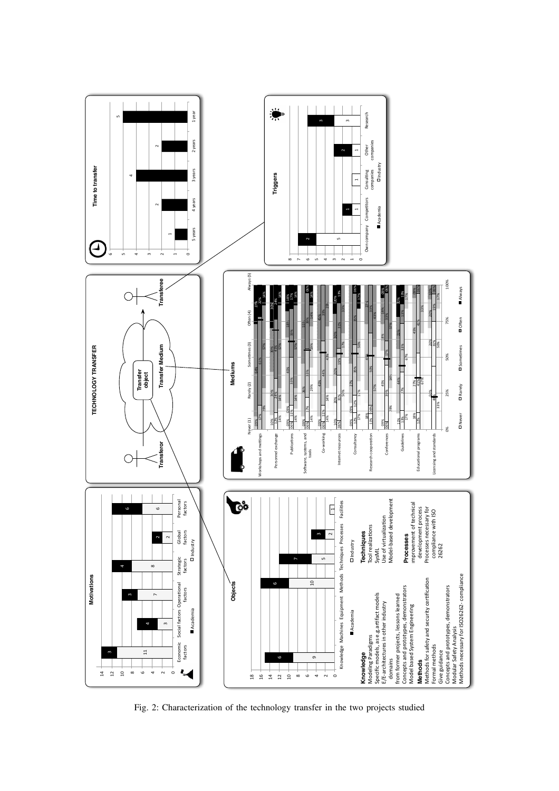

Fig. 2: Characterization of the technology transfer in the two projects studied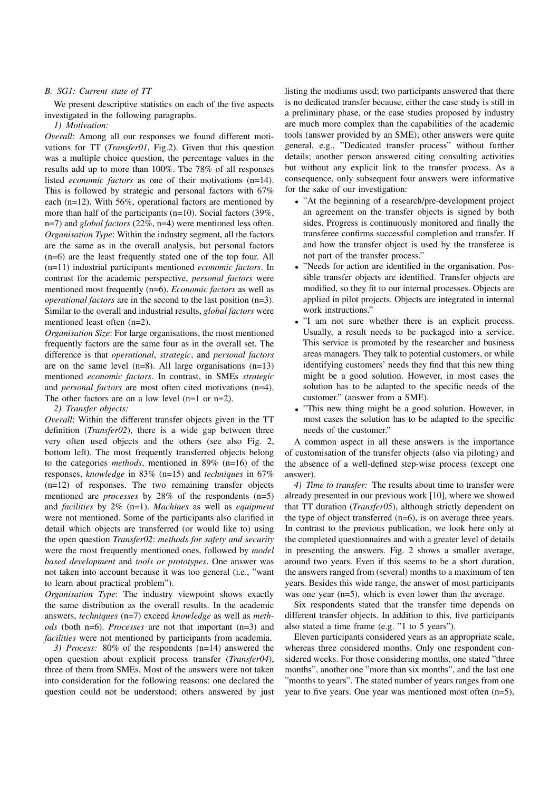#### *B. SG1: Current state of TT*

We present descriptive statistics on each of the five aspects investigated in the following paragraphs.

*1) Motivation:*

*Overall*: Among all our responses we found different motivations for TT (*Transfer01*, Fig.2). Given that this question was a multiple choice question, the percentage values in the results add up to more than 100%. The 78% of all responses listed *economic factors* as one of their motivations (n=14). This is followed by strategic and personal factors with 67% each (n=12). With 56%, operational factors are mentioned by more than half of the participants (n=10). Social factors (39%, n=7) and *global factors* (22%, n=4) were mentioned less often. *Organisation Type*: Within the industry segment, all the factors are the same as in the overall analysis, but personal factors (n=6) are the least frequently stated one of the top four. All (n=11) industrial participants mentioned *economic factors*. In contrast for the academic perspective, *personal factors* were mentioned most frequently (n=6). *Economic factors* as well as *operational factors* are in the second to the last position (n=3). Similar to the overall and industrial results, *global factors* were mentioned least often (n=2).

*Organisation Size*: For large organisations, the most mentioned frequently factors are the same four as in the overall set. The difference is that *operational*, *strategic*, and *personal factors* are on the same level  $(n=8)$ . All large organisations  $(n=13)$ mentioned *economic factors*. In contrast, in SMEs *strategic* and *personal factors* are most often cited motivations (n=4). The other factors are on a low level (n=1 or n=2).

*2) Transfer objects:*

*Overall*: Within the different transfer objects given in the TT definition (*Transfer02*), there is a wide gap between three very often used objects and the others (see also Fig. 2, bottom left). The most frequently transferred objects belong to the categories *methods*, mentioned in 89% (n=16) of the responses, *knowledge* in 83% (n=15) and *techniques* in 67% (n=12) of responses. The two remaining transfer objects mentioned are *processes* by 28% of the respondents (n=5) and *facilities* by 2% (n=1). *Machines* as well as *equipment* were not mentioned. Some of the participants also clarified in detail which objects are transferred (or would like to) using the open question *Transfer02*: *methods for safety and security* were the most frequently mentioned ones, followed by *model based development* and *tools or prototypes*. One answer was not taken into account because it was too general (i.e., "want to learn about practical problem").

*Organisation Type*: The industry viewpoint shows exactly the same distribution as the overall results. In the academic answers, *techniques* (n=7) exceed *knowledge* as well as *methods* (both n=6). *Processes* are not that important (n=3) and *facilities* were not mentioned by participants from academia.

*3) Process:* 80% of the respondents (n=14) answered the open question about explicit process transfer (*Transfer04*), three of them from SMEs. Most of the answers were not taken into consideration for the following reasons: one declared the question could not be understood; others answered by just

listing the mediums used; two participants answered that there is no dedicated transfer because, either the case study is still in a preliminary phase, or the case studies proposed by industry are much more complex than the capabilities of the academic tools (answer provided by an SME); other answers were quite general, e.g., "Dedicated transfer process" without further details; another person answered citing consulting activities but without any explicit link to the transfer process. As a consequence, only subsequent four answers were informative for the sake of our investigation:

- *•* "At the beginning of a research/pre-development project an agreement on the transfer objects is signed by both sides. Progress is continuously monitored and finally the transferee confirms successful completion and transfer. If and how the transfer object is used by the transferee is not part of the transfer process."
- *•* "Needs for action are identified in the organisation. Possible transfer objects are identified. Transfer objects are modified, so they fit to our internal processes. Objects are applied in pilot projects. Objects are integrated in internal work instructions."
- *•* "I am not sure whether there is an explicit process. Usually, a result needs to be packaged into a service. This service is promoted by the researcher and business areas managers. They talk to potential customers, or while identifying customers' needs they find that this new thing might be a good solution. However, in most cases the solution has to be adapted to the specific needs of the customer." (answer from a SME).
- *•* "This new thing might be a good solution. However, in most cases the solution has to be adapted to the specific needs of the customer."

A common aspect in all these answers is the importance of customisation of the transfer objects (also via piloting) and the absence of a well-defined step-wise process (except one answer).

*4) Time to transfer:* The results about time to transfer were already presented in our previous work [10], where we showed that TT duration (*Transfer05*), although strictly dependent on the type of object transferred (n=6), is on average three years. In contrast to the previous publication, we look here only at the completed questionnaires and with a greater level of details in presenting the answers. Fig. 2 shows a smaller average, around two years. Even if this seems to be a short duration, the answers ranged from (several) months to a maximum of ten years. Besides this wide range, the answer of most participants was one year (n=5), which is even lower than the average.

Six respondents stated that the transfer time depends on different transfer objects. In addition to this, five participants also stated a time frame (e.g. "1 to 5 years").

Eleven participants considered years as an appropriate scale, whereas three considered months. Only one respondent considered weeks. For those considering months, one stated "three months", another one "more than six months", and the last one "months to years". The stated number of years ranges from one year to five years. One year was mentioned most often (n=5),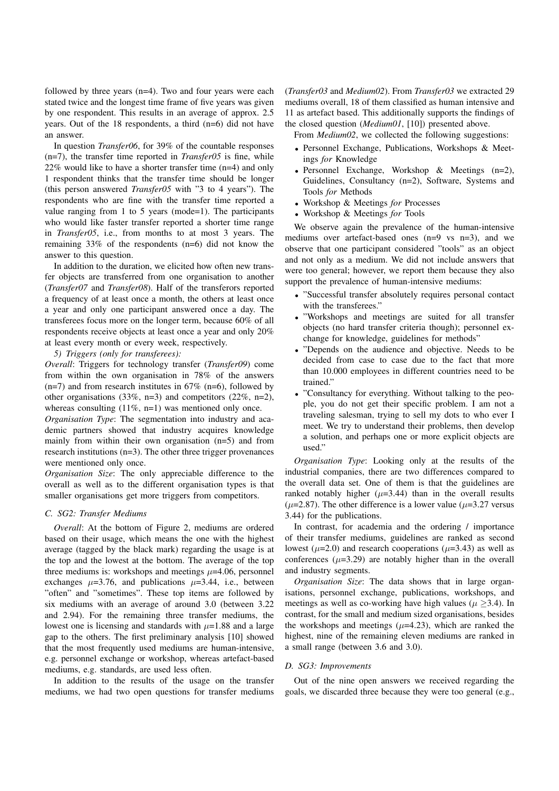followed by three years (n=4). Two and four years were each stated twice and the longest time frame of five years was given by one respondent. This results in an average of approx. 2.5 years. Out of the 18 respondents, a third (n=6) did not have an answer.

In question *Transfer06*, for 39% of the countable responses (n=7), the transfer time reported in *Transfer05* is fine, while 22% would like to have a shorter transfer time (n=4) and only 1 respondent thinks that the transfer time should be longer (this person answered *Transfer05* with "3 to 4 years"). The respondents who are fine with the transfer time reported a value ranging from 1 to 5 years (mode=1). The participants who would like faster transfer reported a shorter time range in *Transfer05*, i.e., from months to at most 3 years. The remaining 33% of the respondents (n=6) did not know the answer to this question.

In addition to the duration, we elicited how often new transfer objects are transferred from one organisation to another (*Transfer07* and *Transfer08*). Half of the transferors reported a frequency of at least once a month, the others at least once a year and only one participant answered once a day. The transferees focus more on the longer term, because 60% of all respondents receive objects at least once a year and only 20% at least every month or every week, respectively.

*5) Triggers (only for transferees):*

*Overall*: Triggers for technology transfer (*Transfer09*) come from within the own organisation in 78% of the answers  $(n=7)$  and from research institutes in 67% (n=6), followed by other organisations  $(33\%, n=3)$  and competitors  $(22\%, n=2)$ , whereas consulting  $(11\%, n=1)$  was mentioned only once.

*Organisation Type*: The segmentation into industry and academic partners showed that industry acquires knowledge mainly from within their own organisation (n=5) and from research institutions (n=3). The other three trigger provenances were mentioned only once.

*Organisation Size*: The only appreciable difference to the overall as well as to the different organisation types is that smaller organisations get more triggers from competitors.

#### *C. SG2: Transfer Mediums*

*Overall*: At the bottom of Figure 2, mediums are ordered based on their usage, which means the one with the highest average (tagged by the black mark) regarding the usage is at the top and the lowest at the bottom. The average of the top three mediums is: workshops and meetings *µ*=4.06, personnel exchanges  $\mu=3.76$ , and publications  $\mu=3.44$ , i.e., between "often" and "sometimes". These top items are followed by six mediums with an average of around 3.0 (between 3.22 and 2.94). For the remaining three transfer mediums, the lowest one is licensing and standards with  $\mu$ =1.88 and a large gap to the others. The first preliminary analysis [10] showed that the most frequently used mediums are human-intensive, e.g. personnel exchange or workshop, whereas artefact-based mediums, e.g. standards, are used less often.

In addition to the results of the usage on the transfer mediums, we had two open questions for transfer mediums (*Transfer03* and *Medium02*). From *Transfer03* we extracted 29 mediums overall, 18 of them classified as human intensive and 11 as artefact based. This additionally supports the findings of the closed question (*Medium01*, [10]) presented above.

From *Medium02*, we collected the following suggestions:

- *•* Personnel Exchange, Publications, Workshops & Meetings *for* Knowledge
- *•* Personnel Exchange, Workshop & Meetings (n=2), Guidelines, Consultancy (n=2), Software, Systems and Tools *for* Methods
- *•* Workshop & Meetings *for* Processes
- *•* Workshop & Meetings *for* Tools

We observe again the prevalence of the human-intensive mediums over artefact-based ones (n=9 vs n=3), and we observe that one participant considered "tools" as an object and not only as a medium. We did not include answers that were too general; however, we report them because they also support the prevalence of human-intensive mediums:

- *•* "Successful transfer absolutely requires personal contact with the transferees."
- *•* "Workshops and meetings are suited for all transfer objects (no hard transfer criteria though); personnel exchange for knowledge, guidelines for methods"
- *•* "Depends on the audience and objective. Needs to be decided from case to case due to the fact that more than 10.000 employees in different countries need to be trained."
- *•* "Consultancy for everything. Without talking to the people, you do not get their specific problem. I am not a traveling salesman, trying to sell my dots to who ever I meet. We try to understand their problems, then develop a solution, and perhaps one or more explicit objects are used."

*Organisation Type*: Looking only at the results of the industrial companies, there are two differences compared to the overall data set. One of them is that the guidelines are ranked notably higher  $(\mu=3.44)$  than in the overall results ( $\mu$ =2.87). The other difference is a lower value ( $\mu$ =3.27 versus 3.44) for the publications.

In contrast, for academia and the ordering / importance of their transfer mediums, guidelines are ranked as second lowest  $(\mu=2.0)$  and research cooperations  $(\mu=3.43)$  as well as conferences  $(\mu=3.29)$  are notably higher than in the overall and industry segments.

*Organisation Size*: The data shows that in large organisations, personnel exchange, publications, workshops, and meetings as well as co-working have high values ( $\mu$  >3.4). In contrast, for the small and medium sized organisations, besides the workshops and meetings  $(\mu=4.23)$ , which are ranked the highest, nine of the remaining eleven mediums are ranked in a small range (between 3.6 and 3.0).

#### *D. SG3: Improvements*

Out of the nine open answers we received regarding the goals, we discarded three because they were too general (e.g.,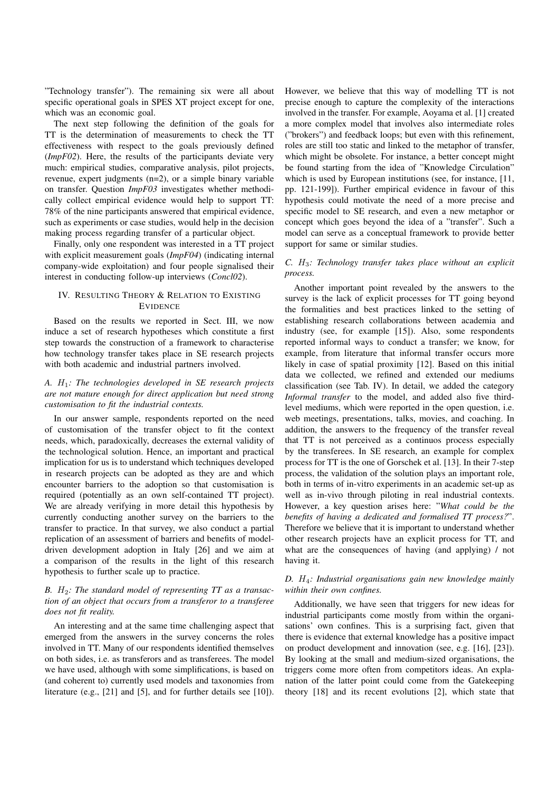"Technology transfer"). The remaining six were all about specific operational goals in SPES XT project except for one, which was an economic goal.

The next step following the definition of the goals for TT is the determination of measurements to check the TT effectiveness with respect to the goals previously defined (*ImpF02*). Here, the results of the participants deviate very much: empirical studies, comparative analysis, pilot projects, revenue, expert judgments (n=2), or a simple binary variable on transfer. Question *ImpF03* investigates whether methodically collect empirical evidence would help to support TT: 78% of the nine participants answered that empirical evidence, such as experiments or case studies, would help in the decision making process regarding transfer of a particular object.

Finally, only one respondent was interested in a TT project with explicit measurement goals (*ImpF04*) (indicating internal company-wide exploitation) and four people signalised their interest in conducting follow-up interviews (*Concl02*).

## IV. RESULTING THEORY & RELATION TO EXISTING **EVIDENCE**

Based on the results we reported in Sect. III, we now induce a set of research hypotheses which constitute a first step towards the construction of a framework to characterise how technology transfer takes place in SE research projects with both academic and industrial partners involved.

## *A. H*1*: The technologies developed in SE research projects are not mature enough for direct application but need strong customisation to fit the industrial contexts.*

In our answer sample, respondents reported on the need of customisation of the transfer object to fit the context needs, which, paradoxically, decreases the external validity of the technological solution. Hence, an important and practical implication for us is to understand which techniques developed in research projects can be adopted as they are and which encounter barriers to the adoption so that customisation is required (potentially as an own self-contained TT project). We are already verifying in more detail this hypothesis by currently conducting another survey on the barriers to the transfer to practice. In that survey, we also conduct a partial replication of an assessment of barriers and benefits of modeldriven development adoption in Italy [26] and we aim at a comparison of the results in the light of this research hypothesis to further scale up to practice.

## *B. H*2*: The standard model of representing TT as a transaction of an object that occurs from a transferor to a transferee does not fit reality.*

An interesting and at the same time challenging aspect that emerged from the answers in the survey concerns the roles involved in TT. Many of our respondents identified themselves on both sides, i.e. as transferors and as transferees. The model we have used, although with some simplifications, is based on (and coherent to) currently used models and taxonomies from literature (e.g., [21] and [5], and for further details see [10]).

However, we believe that this way of modelling TT is not precise enough to capture the complexity of the interactions involved in the transfer. For example, Aoyama et al. [1] created a more complex model that involves also intermediate roles ("brokers") and feedback loops; but even with this refinement, roles are still too static and linked to the metaphor of transfer, which might be obsolete. For instance, a better concept might be found starting from the idea of "Knowledge Circulation" which is used by European institutions (see, for instance, [11, pp. 121-199]). Further empirical evidence in favour of this hypothesis could motivate the need of a more precise and specific model to SE research, and even a new metaphor or concept which goes beyond the idea of a "transfer". Such a model can serve as a conceptual framework to provide better support for same or similar studies.

## *C. H*3*: Technology transfer takes place without an explicit process.*

Another important point revealed by the answers to the survey is the lack of explicit processes for TT going beyond the formalities and best practices linked to the setting of establishing research collaborations between academia and industry (see, for example [15]). Also, some respondents reported informal ways to conduct a transfer; we know, for example, from literature that informal transfer occurs more likely in case of spatial proximity [12]. Based on this initial data we collected, we refined and extended our mediums classification (see Tab. IV). In detail, we added the category *Informal transfer* to the model, and added also five thirdlevel mediums, which were reported in the open question, i.e. web meetings, presentations, talks, movies, and coaching. In addition, the answers to the frequency of the transfer reveal that TT is not perceived as a continuos process especially by the transferees. In SE research, an example for complex process for TT is the one of Gorschek et al. [13]. In their 7-step process, the validation of the solution plays an important role, both in terms of in-vitro experiments in an academic set-up as well as in-vivo through piloting in real industrial contexts. However, a key question arises here: "*What could be the benefits of having a dedicated and formalised TT process?*". Therefore we believe that it is important to understand whether other research projects have an explicit process for TT, and what are the consequences of having (and applying) / not having it.

## *D. H*4*: Industrial organisations gain new knowledge mainly within their own confines.*

Additionally, we have seen that triggers for new ideas for industrial participants come mostly from within the organisations' own confines. This is a surprising fact, given that there is evidence that external knowledge has a positive impact on product development and innovation (see, e.g. [16], [23]). By looking at the small and medium-sized organisations, the triggers come more often from competitors ideas. An explanation of the latter point could come from the Gatekeeping theory [18] and its recent evolutions [2], which state that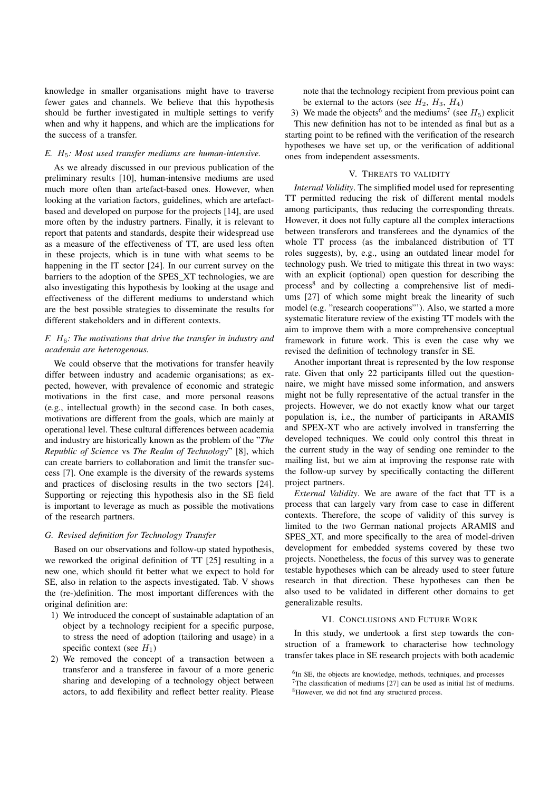knowledge in smaller organisations might have to traverse fewer gates and channels. We believe that this hypothesis should be further investigated in multiple settings to verify when and why it happens, and which are the implications for the success of a transfer.

#### *E. H*5*: Most used transfer mediums are human-intensive.*

As we already discussed in our previous publication of the preliminary results [10], human-intensive mediums are used much more often than artefact-based ones. However, when looking at the variation factors, guidelines, which are artefactbased and developed on purpose for the projects [14], are used more often by the industry partners. Finally, it is relevant to report that patents and standards, despite their widespread use as a measure of the effectiveness of TT, are used less often in these projects, which is in tune with what seems to be happening in the IT sector [24]. In our current survey on the barriers to the adoption of the SPES XT technologies, we are also investigating this hypothesis by looking at the usage and effectiveness of the different mediums to understand which are the best possible strategies to disseminate the results for different stakeholders and in different contexts.

## *F. H*6*: The motivations that drive the transfer in industry and academia are heterogenous.*

We could observe that the motivations for transfer heavily differ between industry and academic organisations; as expected, however, with prevalence of economic and strategic motivations in the first case, and more personal reasons (e.g., intellectual growth) in the second case. In both cases, motivations are different from the goals, which are mainly at operational level. These cultural differences between academia and industry are historically known as the problem of the "*The Republic of Science* vs *The Realm of Technology*" [8], which can create barriers to collaboration and limit the transfer success [7]. One example is the diversity of the rewards systems and practices of disclosing results in the two sectors [24]. Supporting or rejecting this hypothesis also in the SE field is important to leverage as much as possible the motivations of the research partners.

#### *G. Revised definition for Technology Transfer*

Based on our observations and follow-up stated hypothesis, we reworked the original definition of TT [25] resulting in a new one, which should fit better what we expect to hold for SE, also in relation to the aspects investigated. Tab. V shows the (re-)definition. The most important differences with the original definition are:

- 1) We introduced the concept of sustainable adaptation of an object by a technology recipient for a specific purpose, to stress the need of adoption (tailoring and usage) in a specific context (see  $H_1$ )
- 2) We removed the concept of a transaction between a transferor and a transferee in favour of a more generic sharing and developing of a technology object between actors, to add flexibility and reflect better reality. Please

note that the technology recipient from previous point can be external to the actors (see  $H_2$ ,  $H_3$ ,  $H_4$ )

3) We made the objects<sup>6</sup> and the mediums<sup>7</sup> (see  $H_5$ ) explicit This new definition has not to be intended as final but as a starting point to be refined with the verification of the research hypotheses we have set up, or the verification of additional ones from independent assessments.

## V. THREATS TO VALIDITY

*Internal Validity*. The simplified model used for representing TT permitted reducing the risk of different mental models among participants, thus reducing the corresponding threats. However, it does not fully capture all the complex interactions between transferors and transferees and the dynamics of the whole TT process (as the imbalanced distribution of TT roles suggests), by, e.g., using an outdated linear model for technology push. We tried to mitigate this threat in two ways: with an explicit (optional) open question for describing the process<sup>8</sup> and by collecting a comprehensive list of mediums [27] of which some might break the linearity of such model (e.g. "research cooperations"'). Also, we started a more systematic literature review of the existing TT models with the aim to improve them with a more comprehensive conceptual framework in future work. This is even the case why we revised the definition of technology transfer in SE.

Another important threat is represented by the low response rate. Given that only 22 participants filled out the questionnaire, we might have missed some information, and answers might not be fully representative of the actual transfer in the projects. However, we do not exactly know what our target population is, i.e., the number of participants in ARAMIS and SPEX-XT who are actively involved in transferring the developed techniques. We could only control this threat in the current study in the way of sending one reminder to the mailing list, but we aim at improving the response rate with the follow-up survey by specifically contacting the different project partners.

*External Validity*. We are aware of the fact that TT is a process that can largely vary from case to case in different contexts. Therefore, the scope of validity of this survey is limited to the two German national projects ARAMIS and SPES\_XT, and more specifically to the area of model-driven development for embedded systems covered by these two projects. Nonetheless, the focus of this survey was to generate testable hypotheses which can be already used to steer future research in that direction. These hypotheses can then be also used to be validated in different other domains to get generalizable results.

#### VI. CONCLUSIONS AND FUTURE WORK

In this study, we undertook a first step towards the construction of a framework to characterise how technology transfer takes place in SE research projects with both academic

<sup>&</sup>lt;sup>6</sup>In SE, the objects are knowledge, methods, techniques, and processes  $7$ The classification of mediums [27] can be used as initial list of mediums. 8However, we did not find any structured process.